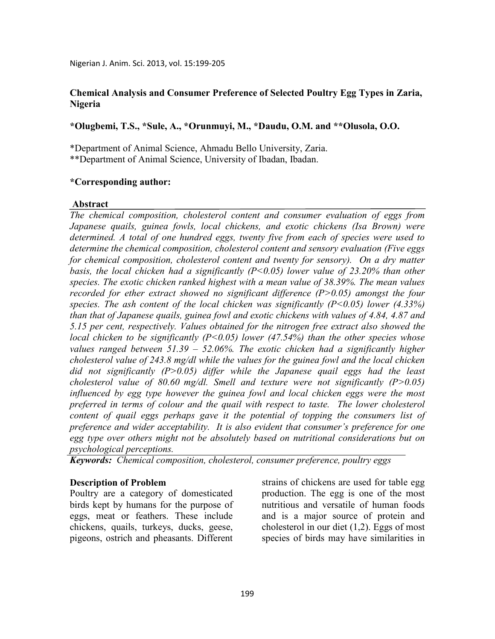### **Chemical Analysis and Consumer Preference of Selected Poultry Egg Types in Zaria, Nigeria**

### **\*Olugbemi, T.S., \*Sule, A., \*Orunmuyi, M., \*Daudu, O.M. and \*\*Olusola, O.O.**

\*Department of Animal Science, Ahmadu Bello University, Zaria.

\*\*Department of Animal Science, University of Ibadan, Ibadan.

#### **\*Corresponding author:**

#### **Abstract**

*The chemical composition, cholesterol content and consumer evaluation of eggs from Japanese quails, guinea fowls, local chickens, and exotic chickens (Isa Brown) were determined. A total of one hundred eggs, twenty five from each of species were used to determine the chemical composition, cholesterol content and sensory evaluation (Five eggs for chemical composition, cholesterol content and twenty for sensory). On a dry matter basis, the local chicken had a significantly (P<0.05) lower value of 23.20% than other species. The exotic chicken ranked highest with a mean value of 38.39%. The mean values recorded for ether extract showed no significant difference (P>0.05) amongst the four species. The ash content of the local chicken was significantly (P<0.05) lower (4.33%) than that of Japanese quails, guinea fowl and exotic chickens with values of 4.84, 4.87 and 5.15 per cent, respectively. Values obtained for the nitrogen free extract also showed the local chicken to be significantly (P<0.05) lower (47.54%) than the other species whose values ranged between 51.39 – 52.06%. The exotic chicken had a significantly higher cholesterol value of 243.8 mg/dl while the values for the guinea fowl and the local chicken did not significantly (P>0.05) differ while the Japanese quail eggs had the least cholesterol value of 80.60 mg/dl. Smell and texture were not significantly (P>0.05) influenced by egg type however the guinea fowl and local chicken eggs were the most preferred in terms of colour and the quail with respect to taste. The lower cholesterol content of quail eggs perhaps gave it the potential of topping the consumers list of preference and wider acceptability. It is also evident that consumer's preference for one egg type over others might not be absolutely based on nutritional considerations but on psychological perceptions.* 

*Keywords: Chemical composition, cholesterol, consumer preference, poultry eggs* 

#### **Description of Problem**

Poultry are a category of domesticated birds kept by humans for the purpose of eggs, meat or feathers. These include chickens, quails, turkeys, ducks, geese, pigeons, ostrich and pheasants. Different

strains of chickens are used for table egg production. The egg is one of the most nutritious and versatile of human foods and is a major source of protein and cholesterol in our diet (1,2). Eggs of most species of birds may have similarities in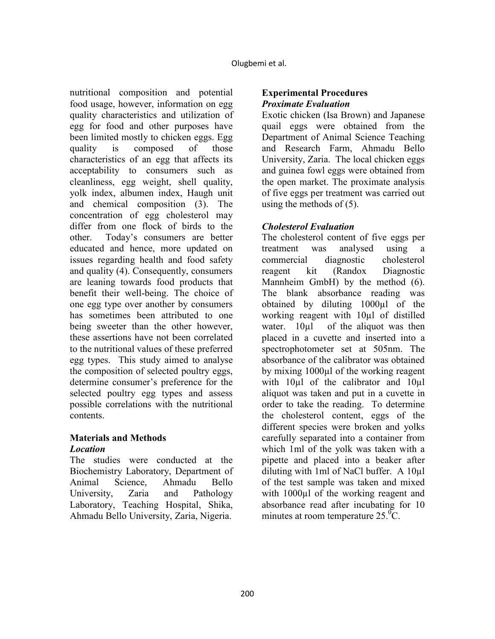nutritional composition and potential food usage, however, information on egg quality characteristics and utilization of egg for food and other purposes have been limited mostly to chicken eggs. Egg quality is composed of those characteristics of an egg that affects its acceptability to consumers such as cleanliness, egg weight, shell quality, yolk index, albumen index, Haugh unit and chemical composition (3). The concentration of egg cholesterol may differ from one flock of birds to the other. Today's consumers are better educated and hence, more updated on issues regarding health and food safety and quality (4). Consequently, consumers are leaning towards food products that benefit their well-being. The choice of one egg type over another by consumers has sometimes been attributed to one being sweeter than the other however, these assertions have not been correlated to the nutritional values of these preferred egg types. This study aimed to analyse the composition of selected poultry eggs, determine consumer's preference for the selected poultry egg types and assess possible correlations with the nutritional contents.

### **Materials and Methods**  *Location*

The studies were conducted at the Biochemistry Laboratory, Department of Animal Science, Ahmadu Bello University, Zaria and Pathology Laboratory, Teaching Hospital, Shika, Ahmadu Bello University, Zaria, Nigeria.

## **Experimental Procedures**  *Proximate Evaluation*

Exotic chicken (Isa Brown) and Japanese quail eggs were obtained from the Department of Animal Science Teaching and Research Farm, Ahmadu Bello University, Zaria. The local chicken eggs and guinea fowl eggs were obtained from the open market. The proximate analysis of five eggs per treatment was carried out using the methods of (5).

# *Cholesterol Evaluation*

The cholesterol content of five eggs per treatment was analysed using a commercial diagnostic cholesterol reagent kit (Randox Diagnostic Mannheim GmbH) by the method (6). The blank absorbance reading was obtained by diluting 1000µl of the working reagent with 10µl of distilled water. 10µl of the aliquot was then placed in a cuvette and inserted into a spectrophotometer set at 505nm. The absorbance of the calibrator was obtained by mixing 1000µl of the working reagent with 10µl of the calibrator and 10µl aliquot was taken and put in a cuvette in order to take the reading. To determine the cholesterol content, eggs of the different species were broken and yolks carefully separated into a container from which 1ml of the yolk was taken with a pipette and placed into a beaker after diluting with 1ml of NaCl buffer. A 10µl of the test sample was taken and mixed with 1000<sup>u</sup>l of the working reagent and absorbance read after incubating for 10 minutes at room temperature  $25^{\circ}$ °C.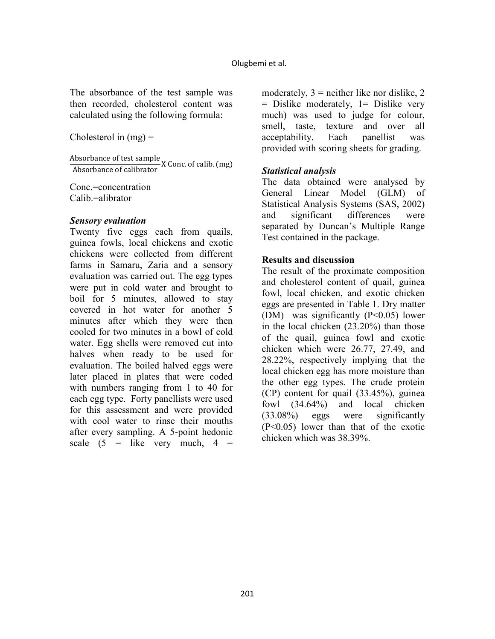The absorbance of the test sample was then recorded, cholesterol content was calculated using the following formula:

Cholesterol in  $(mg)$  =

Absorbance of test sample<br>Absorbance of calibrator X Conc. of calib. (mg)

Conc.=concentration Calib.=alibrator

### *Sensory evaluation*

Twenty five eggs each from quails, guinea fowls, local chickens and exotic chickens were collected from different farms in Samaru, Zaria and a sensory evaluation was carried out. The egg types were put in cold water and brought to boil for 5 minutes, allowed to stay covered in hot water for another 5 minutes after which they were then cooled for two minutes in a bowl of cold water. Egg shells were removed cut into halves when ready to be used for evaluation. The boiled halved eggs were later placed in plates that were coded with numbers ranging from 1 to 40 for each egg type. Forty panellists were used for this assessment and were provided with cool water to rinse their mouths after every sampling. A 5-point hedonic scale  $(5 =$  like very much,  $4 =$ 

moderately,  $3$  = neither like nor dislike, 2 = Dislike moderately, 1= Dislike very much) was used to judge for colour, smell, taste, texture and over all acceptability. Each panellist was provided with scoring sheets for grading.

# *Statistical analysis*

The data obtained were analysed by General Linear Model (GLM) of Statistical Analysis Systems (SAS, 2002) and significant differences were separated by Duncan's Multiple Range Test contained in the package.

### **Results and discussion**

The result of the proximate composition and cholesterol content of quail, guinea fowl, local chicken, and exotic chicken eggs are presented in Table 1. Dry matter (DM) was significantly  $(P<0.05)$  lower in the local chicken (23.20%) than those of the quail, guinea fowl and exotic chicken which were 26.77, 27.49, and 28.22%, respectively implying that the local chicken egg has more moisture than the other egg types. The crude protein (CP) content for quail (33.45%), guinea fowl (34.64%) and local chicken (33.08%) eggs were significantly (P<0.05) lower than that of the exotic chicken which was 38.39%.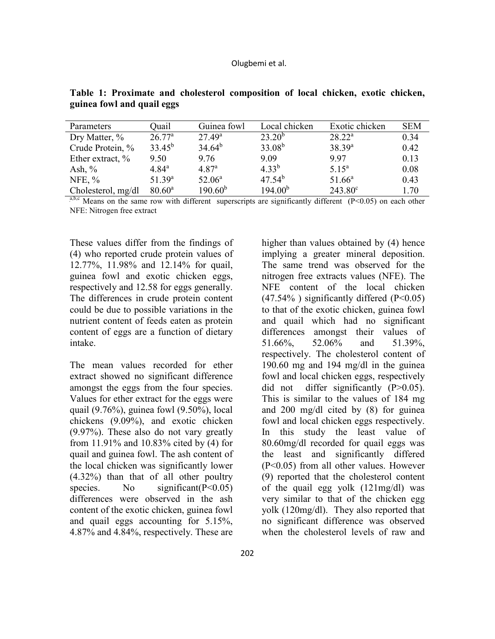| Parameters          | Ouail              | Guinea fowl       | Local chicken       | Exotic chicken   | <b>SEM</b> |
|---------------------|--------------------|-------------------|---------------------|------------------|------------|
| Dry Matter, %       | $26.77^{\rm a}$    | $27.49^{\rm a}$   | $23.20^{b}$         | $28.22^a$        | 0.34       |
| Crude Protein, %    | $33.45^{b}$        | $34.64^{b}$       | $33.08^{b}$         | $38.39^{a}$      | 0.42       |
| Ether extract, $\%$ | 9.50               | 9.76              | 9.09                | 9.97             | 0.13       |
| Ash, $%$            | $4.84^{\rm a}$     | 4.87 <sup>a</sup> | $4.33^{b}$          | $5.15^{\circ}$   | 0.08       |
| NFE, $%$            | 51.39 <sup>a</sup> | $52.06^a$         | $47.54^{b}$         | $51.66^a$        | 0.43       |
| Cholesterol, mg/dl  | $80.60^{\circ}$    | $190.60^{b}$      | 194.00 <sup>b</sup> | $243.80^{\circ}$ | 1.70       |

**Table 1: Proximate and cholesterol composition of local chicken, exotic chicken, guinea fowl and quail eggs** 

<sup>a,b,c</sup> Means on the same row with different superscripts are significantly different ( $P < 0.05$ ) on each other NFE: Nitrogen free extract

These values differ from the findings of (4) who reported crude protein values of 12.77%, 11.98% and 12.14% for quail, guinea fowl and exotic chicken eggs, respectively and 12.58 for eggs generally. The differences in crude protein content could be due to possible variations in the nutrient content of feeds eaten as protein content of eggs are a function of dietary intake.

The mean values recorded for ether extract showed no significant difference amongst the eggs from the four species. Values for ether extract for the eggs were quail (9.76%), guinea fowl (9.50%), local chickens (9.09%), and exotic chicken (9.97%). These also do not vary greatly from 11.91% and 10.83% cited by (4) for quail and guinea fowl. The ash content of the local chicken was significantly lower (4.32%) than that of all other poultry species. No significant  $(P<0.05)$ differences were observed in the ash content of the exotic chicken, guinea fowl and quail eggs accounting for 5.15%, 4.87% and 4.84%, respectively. These are

higher than values obtained by (4) hence implying a greater mineral deposition. The same trend was observed for the nitrogen free extracts values (NFE). The NFE content of the local chicken  $(47.54\%)$  significantly differed  $(P<0.05)$ to that of the exotic chicken, guinea fowl and quail which had no significant differences amongst their values of 51.66%, 52.06% and 51.39%, respectively. The cholesterol content of 190.60 mg and 194 mg/dl in the guinea fowl and local chicken eggs, respectively did not differ significantly (P>0.05). This is similar to the values of 184 mg and 200 mg/dl cited by (8) for guinea fowl and local chicken eggs respectively. In this study the least value of 80.60mg/dl recorded for quail eggs was the least and significantly differed (P<0.05) from all other values. However (9) reported that the cholesterol content of the quail egg yolk (121mg/dl) was very similar to that of the chicken egg yolk (120mg/dl). They also reported that no significant difference was observed when the cholesterol levels of raw and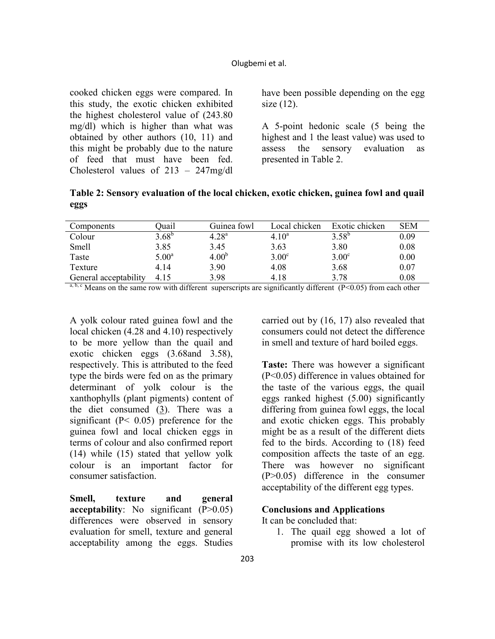#### Olugbemi et al.

cooked chicken eggs were compared. In this study, the exotic chicken exhibited the highest cholesterol value of (243.80 mg/dl) which is higher than what was obtained by other authors (10, 11) and this might be probably due to the nature of feed that must have been fed. Cholesterol values of 213 – 247mg/dl have been possible depending on the egg size (12).

A 5-point hedonic scale (5 being the highest and 1 the least value) was used to assess the sensory evaluation as presented in Table 2.

**Table 2: Sensory evaluation of the local chicken, exotic chicken, guinea fowl and quail eggs** 

| Components            | )uail             | Guinea fowl       | Local chicken | Exotic chicken | <b>SEM</b> |
|-----------------------|-------------------|-------------------|---------------|----------------|------------|
| Colour                | $3.68^{b}$        | $4.28^{a}$        | $4.10^a$      | $3.58^{b}$     | 0.09       |
| Smell                 | 3.85              | 3.45              | 3.63          | 3.80           | 0.08       |
| Taste                 | 5.00 <sup>a</sup> | 4.00 <sup>b</sup> | $3.00^\circ$  | $3.00^{\circ}$ | 0.00       |
| Texture               | 4.14              | 3.90              | 4.08          | 3.68           | 0.07       |
| General acceptability | 4.15              | 3.98              | 4.18          | 3.78           | 0.08       |

<sup>a, b, c</sup> Means on the same row with different superscripts are significantly different (P<0.05) from each other

A yolk colour rated guinea fowl and the local chicken (4.28 and 4.10) respectively to be more yellow than the quail and exotic chicken eggs (3.68and 3.58), respectively. This is attributed to the feed type the birds were fed on as the primary determinant of yolk colour is the xanthophylls (plant pigments) content of the diet consumed (3). There was a significant (P< 0.05) preference for the guinea fowl and local chicken eggs in terms of colour and also confirmed report (14) while (15) stated that yellow yolk colour is an important factor for consumer satisfaction.

**Smell, texture and general acceptability**: No significant (P>0.05) differences were observed in sensory evaluation for smell, texture and general acceptability among the eggs. Studies

carried out by (16, 17) also revealed that consumers could not detect the difference in smell and texture of hard boiled eggs.

**Taste:** There was however a significant (P<0.05) difference in values obtained for the taste of the various eggs, the quail eggs ranked highest (5.00) significantly differing from guinea fowl eggs, the local and exotic chicken eggs. This probably might be as a result of the different diets fed to the birds. According to (18) feed composition affects the taste of an egg. There was however no significant (P>0.05) difference in the consumer acceptability of the different egg types.

#### **Conclusions and Applications**

It can be concluded that:

1. The quail egg showed a lot of promise with its low cholesterol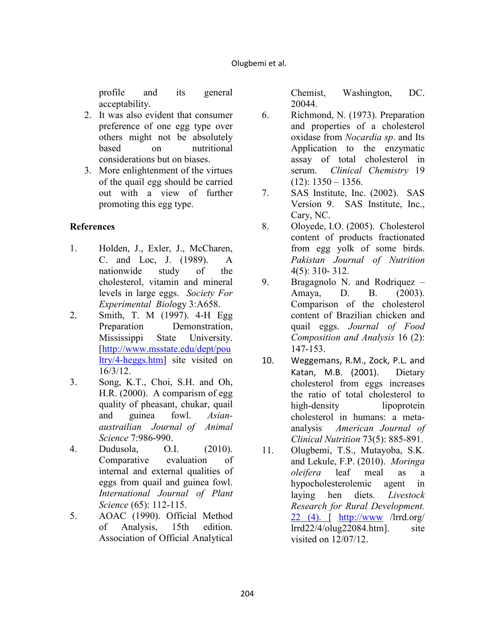profile and its general acceptability.

- 2. It was also evident that consumer preference of one egg type over others might not be absolutely based on nutritional considerations but on biases.
- 3. More enlightenment of the virtues of the quail egg should be carried out with a view of further promoting this egg type.

# **References**

- 1. Holden, J., Exler, J., McCharen, C. and Loc, J. (1989). A nationwide study of the cholesterol, vitamin and mineral levels in large eggs. *Society For Experimental Biol*ogy 3:A658.
- 2. Smith, T. M (1997). 4-H Egg Preparation Demonstration, Mississippi State University. [http://www.msstate.edu/dept/pou ltry/4-heggs.htm] site visited on 16/3/12.
- 3. Song, K.T., Choi, S.H. and Oh, H.R. (2000). A comparism of egg quality of pheasant, chukar, quail and guinea fowl. *Asianaustrailian Journal of Animal Science* 7:986-990.
- 4. Dudusola, O.I. (2010). Comparative evaluation of internal and external qualities of eggs from quail and guinea fowl. *International Journal of Plant Science* (65): 112-115.
- 5. AOAC (1990). Official Method of Analysis, 15th edition. Association of Official Analytical

Chemist, Washington, DC. 20044.

- 6. Richmond, N. (1973). Preparation and properties of a cholesterol oxidase from *Nocardia* sp. and Its Application to the enzymatic assay of total cholesterol in serum. *Clinical Chemistry* 19  $(12): 1350 - 1356.$
- 7. SAS Institute, Inc. (2002). SAS Version 9. SAS Institute, Inc., Cary, NC.
- 8. Oloyede, I.O. (2005). Cholesterol content of products fractionated from egg yolk of some birds. *Pakistan Journal of Nutrition* 4(5): 310- 312.
- 9. Bragagnolo N. and Rodriquez Amaya, D. B. (2003). Comparison of the cholesterol content of Brazilian chicken and quail eggs. *Journal of Food Composition and Analysis* 16 (2): 147-153.
- 10. Weggemans, R.M., Zock, P.L. and Katan, M.B. (2001).Dietary cholesterol from eggs increases the ratio of total cholesterol to high-density lipoprotein cholesterol in humans: a metaanalysis. *American Journal of Clinical Nutrition* 73(5): 885-891.
- 11. Olugbemi, T.S., Mutayoba, S.K. and Lekule, F.P. (2010). *Moringa oleifera* leaf meal as a hypocholesterolemic agent in laying hen diets. *Livestock Research for Rural Development.* 22 (4). [ http://www /lrrd.org/  $lrrd22/4/olyg22084.html$ . site visited on 12/07/12.